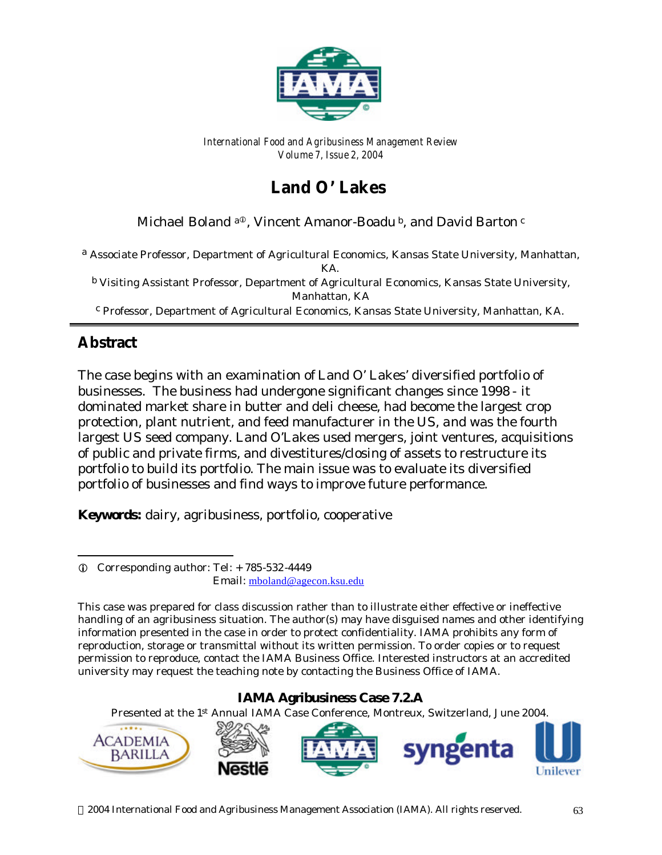

*International Food and Agribusiness Management Review Volume 7, Issue 2, 2004*

# Land O' Lakes

Michael Boland a<sup>®</sup>, Vincent Amanor-Boadu<sup>b</sup>, and David Barton<sup>c</sup>

a *Associate Professor, Department of Agricultural Economics, Kansas State University, Manhattan, KA.*

b *Visiting Assistant Professor, Department of Agricultural Economics, Kansas State University, Manhattan, KA* c  *Professor, Department of Agricultural Economics, Kansas State University, Manhattan, KA.*

# **Abstract**

l

The case begins with an examination of Land O' Lakes' diversified portfolio of businesses. The business had undergone significant changes since 1998 - it dominated market share in butter and deli cheese, had become the largest crop protection, plant nutrient, and feed manufacturer in the US, and was the fourth largest US seed company. Land O'Lakes used mergers, joint ventures, acquisitions of public and private firms, and divestitures/closing of assets to restructure its portfolio to build its portfolio. The main issue was to evaluate its diversified portfolio of businesses and find ways to improve future performance.

**Keywords:** dairy, agribusiness, portfolio, cooperative

#### **IAMA Agribusiness Case 7.2.A**

Presented at the 1st Annual IAMA Case Conference, Montreux, Switzerland, June 2004.



 $Q$  Corresponding author: Tel: + 785-532-4449 Email: mboland@agecon.ksu.edu

*This case was prepared for class discussion rather than to illustrate either effective or ineffective handling of an agribusiness situation. The author(s) may have disguised names and other identifying information presented in the case in order to protect confidentiality. IAMA prohibits any form of reproduction, storage or transmittal without its written permission. To order copies or to request permission to reproduce, contact the IAMA Business Office. Interested instructors at an accredited university may request the teaching note by contacting the Business Office of IAMA.*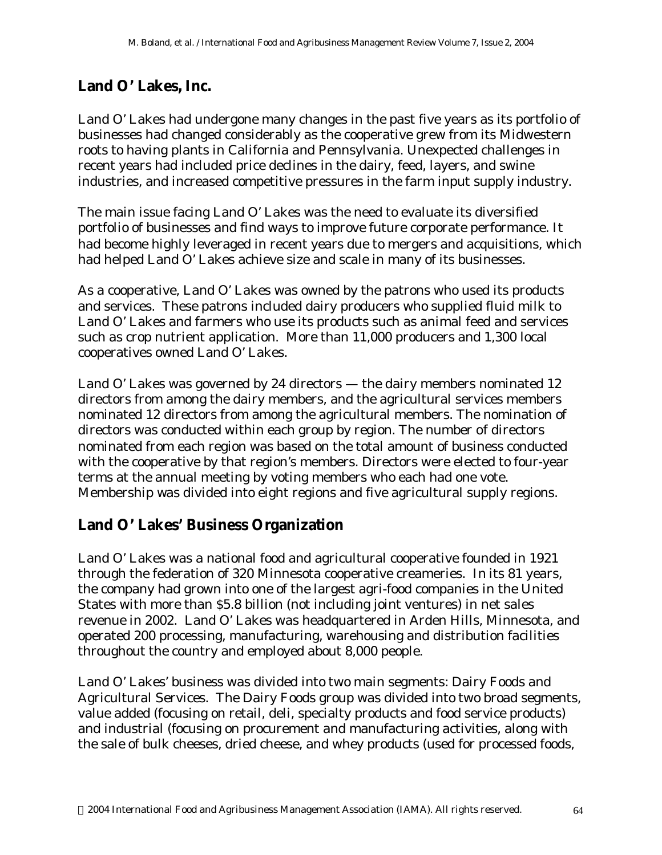## **Land O' Lakes, Inc.**

Land O' Lakes had undergone many changes in the past five years as its portfolio of businesses had changed considerably as the cooperative grew from its Midwestern roots to having plants in California and Pennsylvania. Unexpected challenges in recent years had included price declines in the dairy, feed, layers, and swine industries, and increased competitive pressures in the farm input supply industry.

The main issue facing Land O' Lakes was the need to evaluate its diversified portfolio of businesses and find ways to improve future corporate performance. It had become highly leveraged in recent years due to mergers and acquisitions, which had helped Land O' Lakes achieve size and scale in many of its businesses.

As a cooperative, Land O' Lakes was owned by the patrons who used its products and services. These patrons included dairy producers who supplied fluid milk to Land O' Lakes and farmers who use its products such as animal feed and services such as crop nutrient application. More than 11,000 producers and 1,300 local cooperatives owned Land O' Lakes.

Land O' Lakes was governed by 24 directors — the dairy members nominated 12 directors from among the dairy members, and the agricultural services members nominated 12 directors from among the agricultural members. The nomination of directors was conducted within each group by region. The number of directors nominated from each region was based on the total amount of business conducted with the cooperative by that region's members. Directors were elected to four-year terms at the annual meeting by voting members who each had one vote. Membership was divided into eight regions and five agricultural supply regions.

#### **Land O' Lakes' Business Organization**

Land O' Lakes was a national food and agricultural cooperative founded in 1921 through the federation of 320 Minnesota cooperative creameries. In its 81 years, the company had grown into one of the largest agri-food companies in the United States with more than \$5.8 billion (not including joint ventures) in net sales revenue in 2002. Land O' Lakes was headquartered in Arden Hills, Minnesota, and operated 200 processing, manufacturing, warehousing and distribution facilities throughout the country and employed about 8,000 people.

Land O' Lakes' business was divided into two main segments: Dairy Foods and Agricultural Services. The Dairy Foods group was divided into two broad segments, value added (focusing on retail, deli, specialty products and food service products) and industrial (focusing on procurement and manufacturing activities, along with the sale of bulk cheeses, dried cheese, and whey products (used for processed foods,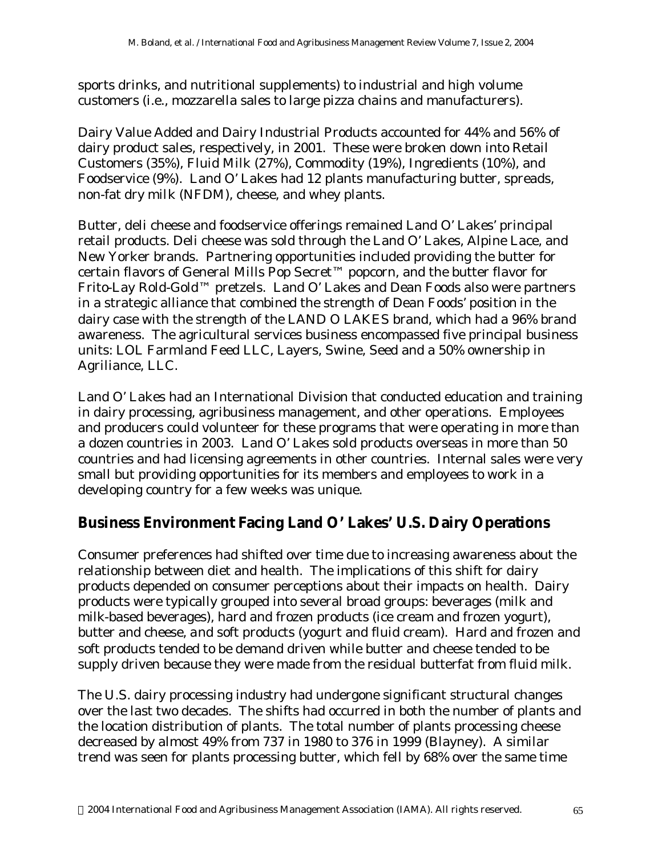sports drinks, and nutritional supplements) to industrial and high volume customers (i.e., mozzarella sales to large pizza chains and manufacturers).

Dairy Value Added and Dairy Industrial Products accounted for 44% and 56% of dairy product sales, respectively, in 2001. These were broken down into Retail Customers (35%), Fluid Milk (27%), Commodity (19%), Ingredients (10%), and Foodservice (9%). Land O' Lakes had 12 plants manufacturing butter, spreads, non-fat dry milk (NFDM), cheese, and whey plants.

Butter, deli cheese and foodservice offerings remained Land O' Lakes' principal retail products. Deli cheese was sold through the Land O' Lakes, Alpine Lace, and New Yorker brands. Partnering opportunities included providing the butter for certain flavors of General Mills Pop Secret™ popcorn, and the butter flavor for Frito-Lay Rold-Gold™ pretzels. Land O' Lakes and Dean Foods also were partners in a strategic alliance that combined the strength of Dean Foods' position in the dairy case with the strength of the LAND O LAKES brand, which had a 96% brand awareness. The agricultural services business encompassed five principal business units: LOL Farmland Feed LLC, Layers, Swine, Seed and a 50% ownership in Agriliance, LLC.

Land O' Lakes had an International Division that conducted education and training in dairy processing, agribusiness management, and other operations. Employees and producers could volunteer for these programs that were operating in more than a dozen countries in 2003. Land O' Lakes sold products overseas in more than 50 countries and had licensing agreements in other countries. Internal sales were very small but providing opportunities for its members and employees to work in a developing country for a few weeks was unique.

#### **Business Environment Facing Land O' Lakes' U.S. Dairy Operations**

Consumer preferences had shifted over time due to increasing awareness about the relationship between diet and health. The implications of this shift for dairy products depended on consumer perceptions about their impacts on health. Dairy products were typically grouped into several broad groups: beverages (milk and milk-based beverages), hard and frozen products (ice cream and frozen yogurt), butter and cheese, and soft products (yogurt and fluid cream). Hard and frozen and soft products tended to be demand driven while butter and cheese tended to be supply driven because they were made from the residual butterfat from fluid milk.

The U.S. dairy processing industry had undergone significant structural changes over the last two decades. The shifts had occurred in both the number of plants and the location distribution of plants. The total number of plants processing cheese decreased by almost 49% from 737 in 1980 to 376 in 1999 (Blayney). A similar trend was seen for plants processing butter, which fell by 68% over the same time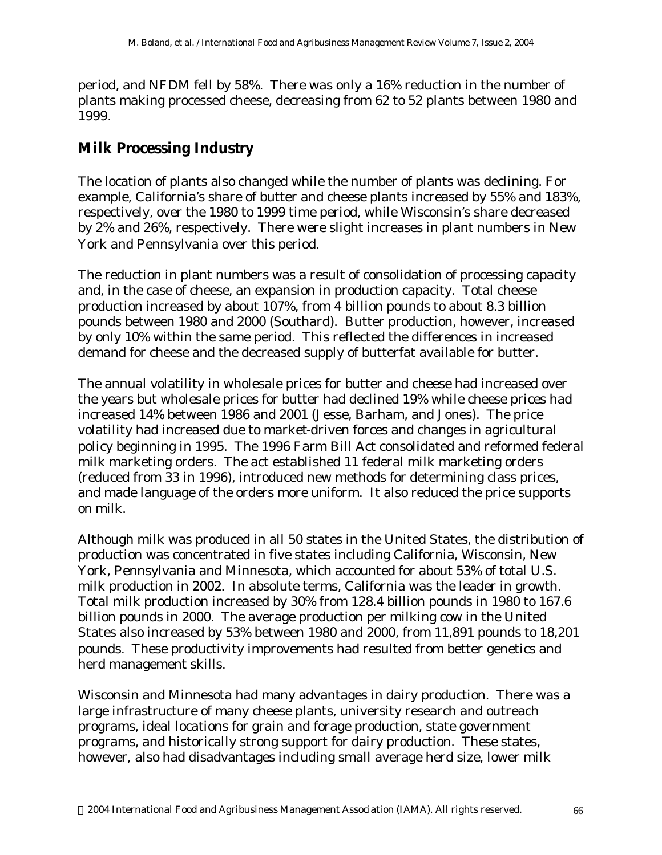period, and NFDM fell by 58%. There was only a 16% reduction in the number of plants making processed cheese, decreasing from 62 to 52 plants between 1980 and 1999.

### **Milk Processing Industry**

The location of plants also changed while the number of plants was declining. For example, California's share of butter and cheese plants increased by 55% and 183%, respectively, over the 1980 to 1999 time period, while Wisconsin's share decreased by 2% and 26%, respectively. There were slight increases in plant numbers in New York and Pennsylvania over this period.

The reduction in plant numbers was a result of consolidation of processing capacity and, in the case of cheese, an expansion in production capacity. Total cheese production increased by about 107%, from 4 billion pounds to about 8.3 billion pounds between 1980 and 2000 (Southard). Butter production, however, increased by only 10% within the same period. This reflected the differences in increased demand for cheese and the decreased supply of butterfat available for butter.

The annual volatility in wholesale prices for butter and cheese had increased over the years but wholesale prices for butter had declined 19% while cheese prices had increased 14% between 1986 and 2001 (Jesse, Barham, and Jones). The price volatility had increased due to market-driven forces and changes in agricultural policy beginning in 1995. The 1996 Farm Bill Act consolidated and reformed federal milk marketing orders. The act established 11 federal milk marketing orders (reduced from 33 in 1996), introduced new methods for determining class prices, and made language of the orders more uniform. It also reduced the price supports on milk.

Although milk was produced in all 50 states in the United States, the distribution of production was concentrated in five states including California, Wisconsin, New York, Pennsylvania and Minnesota, which accounted for about 53% of total U.S. milk production in 2002. In absolute terms, California was the leader in growth. Total milk production increased by 30% from 128.4 billion pounds in 1980 to 167.6 billion pounds in 2000. The average production per milking cow in the United States also increased by 53% between 1980 and 2000, from 11,891 pounds to 18,201 pounds. These productivity improvements had resulted from better genetics and herd management skills.

Wisconsin and Minnesota had many advantages in dairy production. There was a large infrastructure of many cheese plants, university research and outreach programs, ideal locations for grain and forage production, state government programs, and historically strong support for dairy production. These states, however, also had disadvantages including small average herd size, lower milk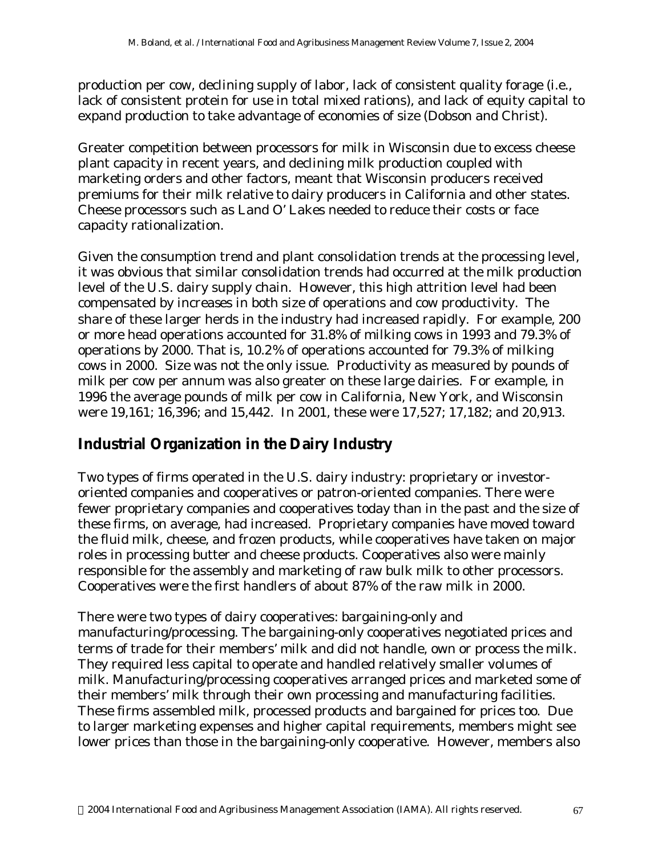production per cow, declining supply of labor, lack of consistent quality forage (i.e., lack of consistent protein for use in total mixed rations), and lack of equity capital to expand production to take advantage of economies of size (Dobson and Christ).

Greater competition between processors for milk in Wisconsin due to excess cheese plant capacity in recent years, and declining milk production coupled with marketing orders and other factors, meant that Wisconsin producers received premiums for their milk relative to dairy producers in California and other states. Cheese processors such as Land O' Lakes needed to reduce their costs or face capacity rationalization.

Given the consumption trend and plant consolidation trends at the processing level, it was obvious that similar consolidation trends had occurred at the milk production level of the U.S. dairy supply chain. However, this high attrition level had been compensated by increases in both size of operations and cow productivity. The share of these larger herds in the industry had increased rapidly. For example, 200 or more head operations accounted for 31.8% of milking cows in 1993 and 79.3% of operations by 2000. That is, 10.2% of operations accounted for 79.3% of milking cows in 2000. Size was not the only issue. Productivity as measured by pounds of milk per cow per annum was also greater on these large dairies. For example, in 1996 the average pounds of milk per cow in California, New York, and Wisconsin were 19,161; 16,396; and 15,442. In 2001, these were 17,527; 17,182; and 20,913.

#### **Industrial Organization in the Dairy Industry**

Two types of firms operated in the U.S. dairy industry: proprietary or investororiented companies and cooperatives or patron-oriented companies. There were fewer proprietary companies and cooperatives today than in the past and the size of these firms, on average, had increased. Proprietary companies have moved toward the fluid milk, cheese, and frozen products, while cooperatives have taken on major roles in processing butter and cheese products. Cooperatives also were mainly responsible for the assembly and marketing of raw bulk milk to other processors. Cooperatives were the first handlers of about 87% of the raw milk in 2000.

There were two types of dairy cooperatives: bargaining-only and manufacturing/processing. The bargaining-only cooperatives negotiated prices and terms of trade for their members' milk and did not handle, own or process the milk. They required less capital to operate and handled relatively smaller volumes of milk. Manufacturing/processing cooperatives arranged prices and marketed some of their members' milk through their own processing and manufacturing facilities. These firms assembled milk, processed products and bargained for prices too. Due to larger marketing expenses and higher capital requirements, members might see lower prices than those in the bargaining-only cooperative. However, members also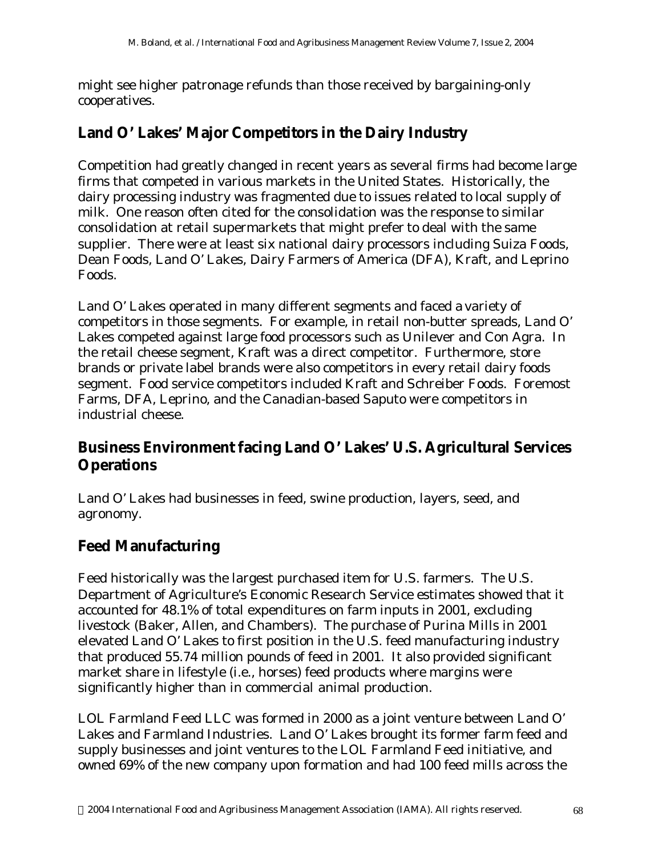might see higher patronage refunds than those received by bargaining-only cooperatives.

#### **Land O' Lakes' Major Competitors in the Dairy Industry**

Competition had greatly changed in recent years as several firms had become large firms that competed in various markets in the United States. Historically, the dairy processing industry was fragmented due to issues related to local supply of milk. One reason often cited for the consolidation was the response to similar consolidation at retail supermarkets that might prefer to deal with the same supplier. There were at least six national dairy processors including Suiza Foods, Dean Foods, Land O' Lakes, Dairy Farmers of America (DFA), Kraft, and Leprino Foods.

Land O' Lakes operated in many different segments and faced a variety of competitors in those segments. For example, in retail non-butter spreads, Land O' Lakes competed against large food processors such as Unilever and Con Agra. In the retail cheese segment, Kraft was a direct competitor. Furthermore, store brands or private label brands were also competitors in every retail dairy foods segment. Food service competitors included Kraft and Schreiber Foods. Foremost Farms, DFA, Leprino, and the Canadian-based Saputo were competitors in industrial cheese.

#### **Business Environment facing Land O' Lakes' U.S. Agricultural Services Operations**

Land O' Lakes had businesses in feed, swine production, layers, seed, and agronomy.

#### **Feed Manufacturing**

Feed historically was the largest purchased item for U.S. farmers. The U.S. Department of Agriculture's Economic Research Service estimates showed that it accounted for 48.1% of total expenditures on farm inputs in 2001, excluding livestock (Baker, Allen, and Chambers). The purchase of Purina Mills in 2001 elevated Land O' Lakes to first position in the U.S. feed manufacturing industry that produced 55.74 million pounds of feed in 2001. It also provided significant market share in lifestyle (i.e., horses) feed products where margins were significantly higher than in commercial animal production.

LOL Farmland Feed LLC was formed in 2000 as a joint venture between Land O' Lakes and Farmland Industries. Land O' Lakes brought its former farm feed and supply businesses and joint ventures to the LOL Farmland Feed initiative, and owned 69% of the new company upon formation and had 100 feed mills across the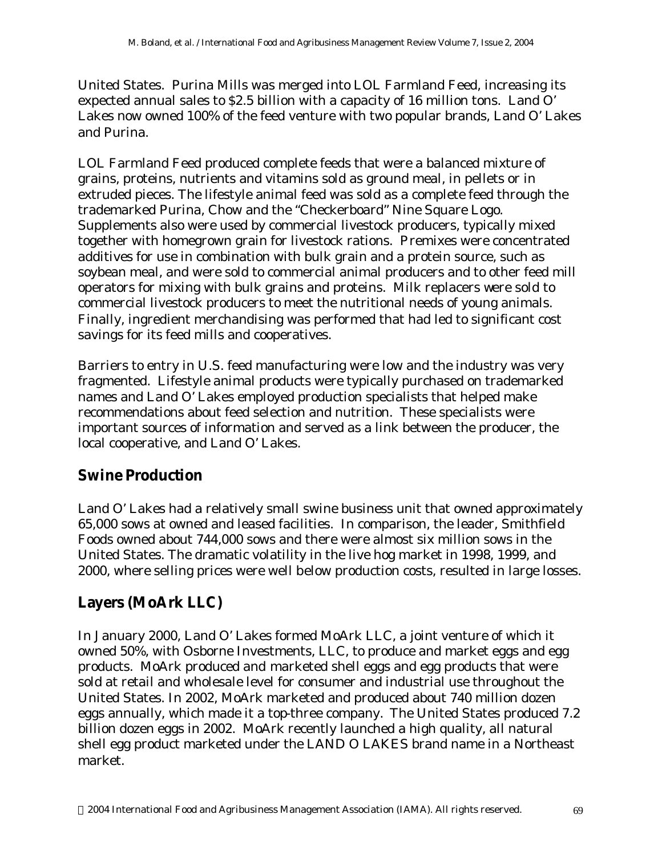United States. Purina Mills was merged into LOL Farmland Feed, increasing its expected annual sales to \$2.5 billion with a capacity of 16 million tons. Land O' Lakes now owned 100% of the feed venture with two popular brands, Land O' Lakes and Purina.

LOL Farmland Feed produced complete feeds that were a balanced mixture of grains, proteins, nutrients and vitamins sold as ground meal, in pellets or in extruded pieces. The lifestyle animal feed was sold as a complete feed through the trademarked Purina, Chow and the "Checkerboard" Nine Square Logo. Supplements also were used by commercial livestock producers, typically mixed together with homegrown grain for livestock rations. Premixes were concentrated additives for use in combination with bulk grain and a protein source, such as soybean meal, and were sold to commercial animal producers and to other feed mill operators for mixing with bulk grains and proteins. Milk replacers were sold to commercial livestock producers to meet the nutritional needs of young animals. Finally, ingredient merchandising was performed that had led to significant cost savings for its feed mills and cooperatives.

Barriers to entry in U.S. feed manufacturing were low and the industry was very fragmented. Lifestyle animal products were typically purchased on trademarked names and Land O' Lakes employed production specialists that helped make recommendations about feed selection and nutrition. These specialists were important sources of information and served as a link between the producer, the local cooperative, and Land O' Lakes.

#### **Swine Production**

Land O' Lakes had a relatively small swine business unit that owned approximately 65,000 sows at owned and leased facilities. In comparison, the leader, Smithfield Foods owned about 744,000 sows and there were almost six million sows in the United States. The dramatic volatility in the live hog market in 1998, 1999, and 2000, where selling prices were well below production costs, resulted in large losses.

# **Layers (MoArk LLC)**

In January 2000, Land O' Lakes formed MoArk LLC, a joint venture of which it owned 50%, with Osborne Investments, LLC, to produce and market eggs and egg products. MoArk produced and marketed shell eggs and egg products that were sold at retail and wholesale level for consumer and industrial use throughout the United States. In 2002, MoArk marketed and produced about 740 million dozen eggs annually, which made it a top-three company. The United States produced 7.2 billion dozen eggs in 2002. MoArk recently launched a high quality, all natural shell egg product marketed under the LAND O LAKES brand name in a Northeast market.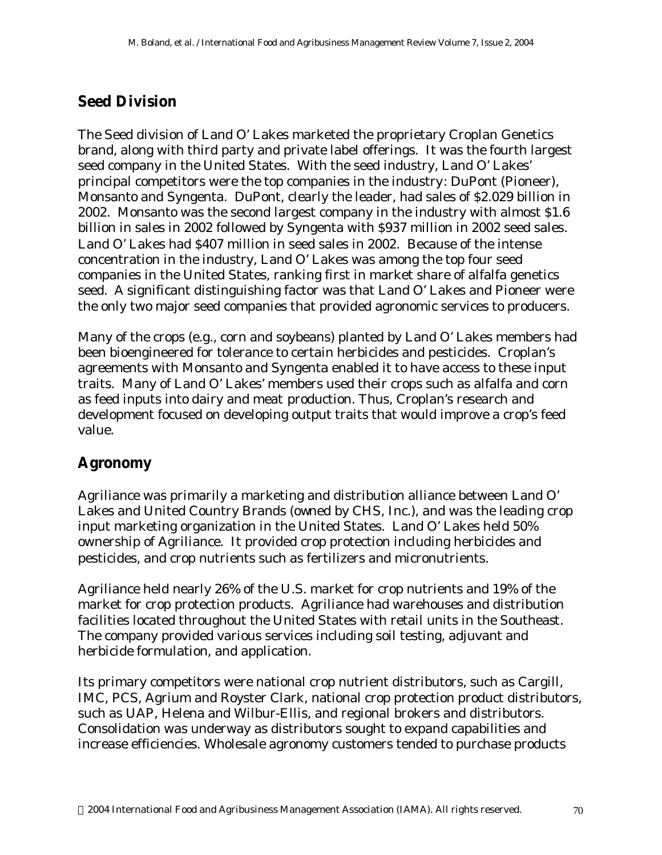### **Seed Division**

The Seed division of Land O' Lakes marketed the proprietary Croplan Genetics brand, along with third party and private label offerings. It was the fourth largest seed company in the United States. With the seed industry, Land O' Lakes' principal competitors were the top companies in the industry: DuPont (Pioneer), Monsanto and Syngenta. DuPont, clearly the leader, had sales of \$2.029 billion in 2002. Monsanto was the second largest company in the industry with almost \$1.6 billion in sales in 2002 followed by Syngenta with \$937 million in 2002 seed sales. Land O' Lakes had \$407 million in seed sales in 2002. Because of the intense concentration in the industry, Land O' Lakes was among the top four seed companies in the United States, ranking first in market share of alfalfa genetics seed. A significant distinguishing factor was that Land O' Lakes and Pioneer were the only two major seed companies that provided agronomic services to producers.

Many of the crops (e.g., corn and soybeans) planted by Land O' Lakes members had been bioengineered for tolerance to certain herbicides and pesticides. Croplan's agreements with Monsanto and Syngenta enabled it to have access to these input traits. Many of Land O' Lakes' members used their crops such as alfalfa and corn as feed inputs into dairy and meat production. Thus, Croplan's research and development focused on developing output traits that would improve a crop's feed value.

# **Agronomy**

Agriliance was primarily a marketing and distribution alliance between Land O' Lakes and United Country Brands (owned by CHS, Inc.), and was the leading crop input marketing organization in the United States. Land O' Lakes held 50% ownership of Agriliance. It provided crop protection including herbicides and pesticides, and crop nutrients such as fertilizers and micronutrients.

Agriliance held nearly 26% of the U.S. market for crop nutrients and 19% of the market for crop protection products. Agriliance had warehouses and distribution facilities located throughout the United States with retail units in the Southeast. The company provided various services including soil testing, adjuvant and herbicide formulation, and application.

Its primary competitors were national crop nutrient distributors, such as Cargill, IMC, PCS, Agrium and Royster Clark, national crop protection product distributors, such as UAP, Helena and Wilbur-Ellis, and regional brokers and distributors. Consolidation was underway as distributors sought to expand capabilities and increase efficiencies. Wholesale agronomy customers tended to purchase products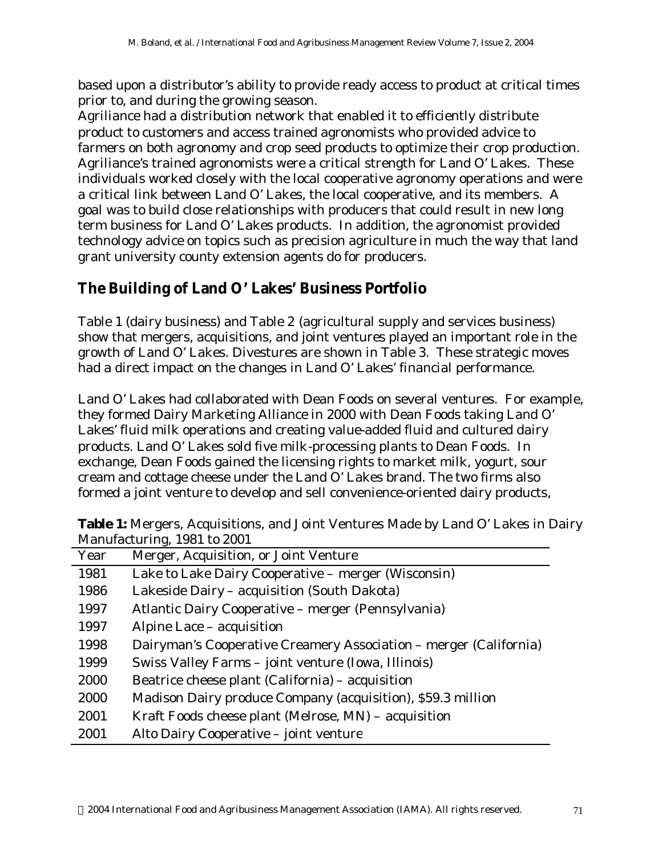based upon a distributor's ability to provide ready access to product at critical times prior to, and during the growing season.

Agriliance had a distribution network that enabled it to efficiently distribute product to customers and access trained agronomists who provided advice to farmers on both agronomy and crop seed products to optimize their crop production. Agriliance's trained agronomists were a critical strength for Land O' Lakes. These individuals worked closely with the local cooperative agronomy operations and were a critical link between Land O' Lakes, the local cooperative, and its members. A goal was to build close relationships with producers that could result in new long term business for Land O' Lakes products. In addition, the agronomist provided technology advice on topics such as precision agriculture in much the way that land grant university county extension agents do for producers.

#### **The Building of Land O' Lakes' Business Portfolio**

Table 1 (dairy business) and Table 2 (agricultural supply and services business) show that mergers, acquisitions, and joint ventures played an important role in the growth of Land O' Lakes. Divestures are shown in Table 3. These strategic moves had a direct impact on the changes in Land O' Lakes' financial performance.

Land O' Lakes had collaborated with Dean Foods on several ventures. For example, they formed Dairy Marketing Alliance in 2000 with Dean Foods taking Land O' Lakes' fluid milk operations and creating value-added fluid and cultured dairy products. Land O' Lakes sold five milk-processing plants to Dean Foods. In exchange, Dean Foods gained the licensing rights to market milk, yogurt, sour cream and cottage cheese under the Land O' Lakes brand. The two firms also formed a joint venture to develop and sell convenience-oriented dairy products,

| Year | Merger, Acquisition, or Joint Venture                             |
|------|-------------------------------------------------------------------|
| 1981 | Lake to Lake Dairy Cooperative – merger (Wisconsin)               |
| 1986 | Lakeside Dairy – acquisition (South Dakota)                       |
| 1997 | Atlantic Dairy Cooperative – merger (Pennsylvania)                |
| 1997 | Alpine Lace – acquisition                                         |
| 1998 | Dairyman's Cooperative Creamery Association – merger (California) |
| 1999 | Swiss Valley Farms - joint venture (Iowa, Illinois)               |
| 2000 | Beatrice cheese plant (California) – acquisition                  |
| 2000 | Madison Dairy produce Company (acquisition), \$59.3 million       |
| 2001 | Kraft Foods cheese plant (Melrose, MN) – acquisition              |
| 2001 | Alto Dairy Cooperative – joint venture                            |

**Table 1:** Mergers, Acquisitions, and Joint Ventures Made by Land O' Lakes in Dairy Manufacturing, 1981 to 2001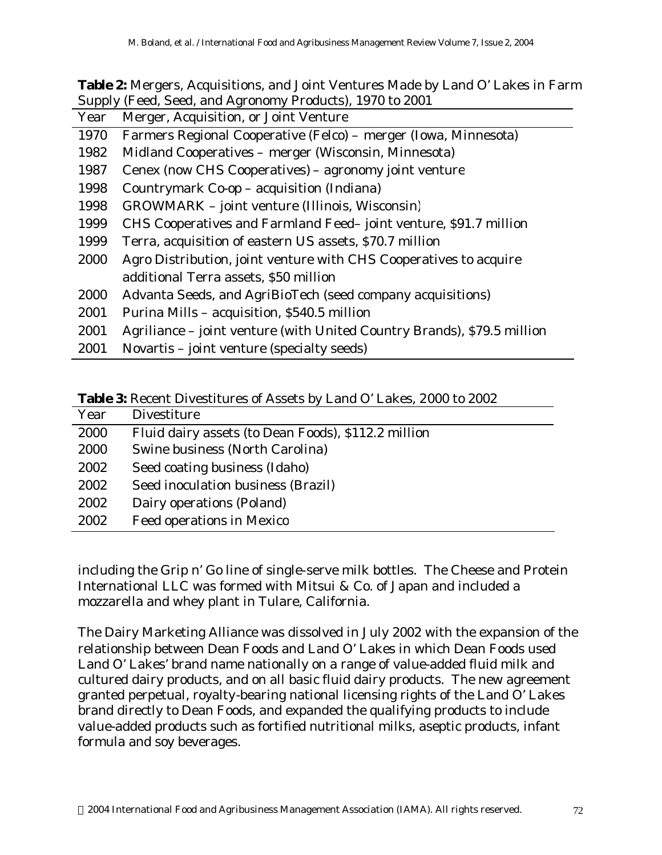| <b>Table 2:</b> Mergers, Acquisitions, and Joint Ventures Made by Land O' Lakes in Farm |
|-----------------------------------------------------------------------------------------|
| Supply (Feed, Seed, and Agronomy Products), 1970 to 2001                                |

| Year | Merger, Acquisition, or Joint Venture                                   |
|------|-------------------------------------------------------------------------|
| 1970 | Farmers Regional Cooperative (Felco) – merger (Iowa, Minnesota)         |
| 1982 | Midland Cooperatives – merger (Wisconsin, Minnesota)                    |
| 1987 | Cenex (now CHS Cooperatives) – agronomy joint venture                   |
| 1998 | Countrymark Co-op – acquisition (Indiana)                               |
| 1998 | GROWMARK - joint venture (Illinois, Wisconsin)                          |
| 1999 | CHS Cooperatives and Farmland Feed-joint venture, \$91.7 million        |
| 1999 | Terra, acquisition of eastern US assets, \$70.7 million                 |
| 2000 | Agro Distribution, joint venture with CHS Cooperatives to acquire       |
|      | additional Terra assets, \$50 million                                   |
| 2000 | Advanta Seeds, and AgriBioTech (seed company acquisitions)              |
| 2001 | Purina Mills – acquisition, \$540.5 million                             |
| 2001 | Agriliance – joint venture (with United Country Brands), \$79.5 million |
| 2001 | Novartis – joint venture (specialty seeds)                              |

**Table 3:** Recent Divestitures of Assets by Land O' Lakes, 2000 to 2002

| Year | Divestiture                                         |
|------|-----------------------------------------------------|
| 2000 | Fluid dairy assets (to Dean Foods), \$112.2 million |
| 2000 | Swine business (North Carolina)                     |
| 2002 | Seed coating business (Idaho)                       |
| 2002 | Seed inoculation business (Brazil)                  |
| 2002 | Dairy operations (Poland)                           |
| 2002 | Feed operations in Mexico                           |
|      |                                                     |

including the Grip n' Go line of single-serve milk bottles. The Cheese and Protein International LLC was formed with Mitsui & Co. of Japan and included a mozzarella and whey plant in Tulare, California.

The Dairy Marketing Alliance was dissolved in July 2002 with the expansion of the relationship between Dean Foods and Land O' Lakes in which Dean Foods used Land O' Lakes' brand name nationally on a range of value-added fluid milk and cultured dairy products, and on all basic fluid dairy products. The new agreement granted perpetual, royalty-bearing national licensing rights of the Land O' Lakes brand directly to Dean Foods, and expanded the qualifying products to include value-added products such as fortified nutritional milks, aseptic products, infant formula and soy beverages.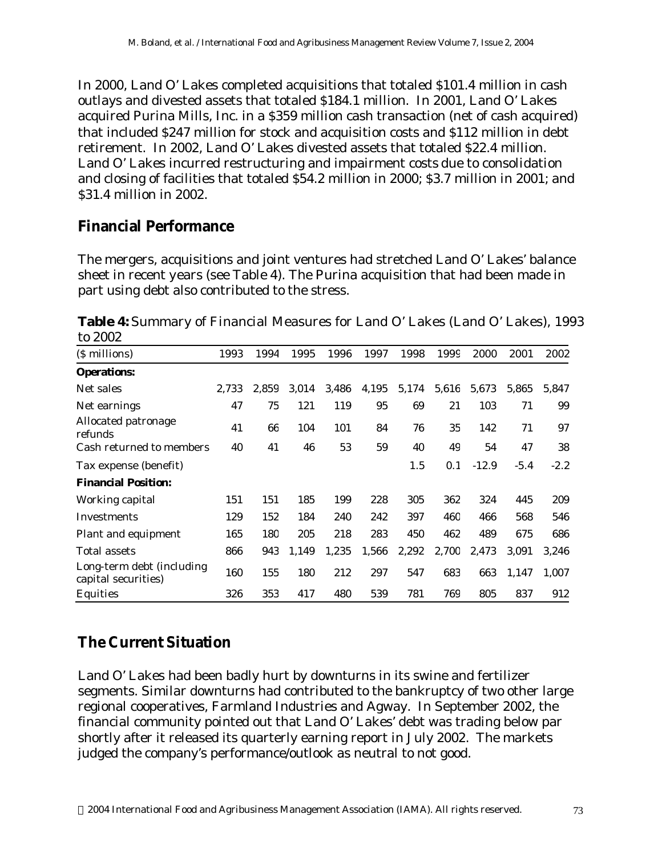In 2000, Land O' Lakes completed acquisitions that totaled \$101.4 million in cash outlays and divested assets that totaled \$184.1 million. In 2001, Land O' Lakes acquired Purina Mills, Inc. in a \$359 million cash transaction (net of cash acquired) that included \$247 million for stock and acquisition costs and \$112 million in debt retirement. In 2002, Land O' Lakes divested assets that totaled \$22.4 million. Land O' Lakes incurred restructuring and impairment costs due to consolidation and closing of facilities that totaled \$54.2 million in 2000; \$3.7 million in 2001; and \$31.4 million in 2002.

#### **Financial Performance**

The mergers, acquisitions and joint ventures had stretched Land O' Lakes' balance sheet in recent years (see Table 4). The Purina acquisition that had been made in part using debt also contributed to the stress.

**Table 4:** Summary of Financial Measures for Land O' Lakes (Land O' Lakes), 1993 to 2002

| (\$ millions)                                    | 1993  | 1994  | 1995  | 1996  | 1997  | 1998  | 1999  | 2000    | 2001   | 2002   |
|--------------------------------------------------|-------|-------|-------|-------|-------|-------|-------|---------|--------|--------|
| <b>Operations:</b>                               |       |       |       |       |       |       |       |         |        |        |
| Net sales                                        | 2,733 | 2,859 | 3,014 | 3,486 | 4,195 | 5,174 | 5,616 | 5,673   | 5,865  | 5,847  |
| Net earnings                                     | 47    | 75    | 121   | 119   | 95    | 69    | 21    | 103     | 71     | 99     |
| Allocated patronage<br>refunds                   | 41    | 66    | 104   | 101   | 84    | 76    | 35    | 142     | 71     | 97     |
| Cash returned to members                         | 40    | 41    | 46    | 53    | 59    | 40    | 49    | 54      | 47     | 38     |
| Tax expense (benefit)                            |       |       |       |       |       | 1.5   | 0.1   | $-12.9$ | $-5.4$ | $-2.2$ |
| <b>Financial Position:</b>                       |       |       |       |       |       |       |       |         |        |        |
| Working capital                                  | 151   | 151   | 185   | 199   | 228   | 305   | 362   | 324     | 445    | 209    |
| <b>Investments</b>                               | 129   | 152   | 184   | 240   | 242   | 397   | 460   | 466     | 568    | 546    |
| Plant and equipment                              | 165   | 180   | 205   | 218   | 283   | 450   | 462   | 489     | 675    | 686    |
| Total assets                                     | 866   | 943   | 1.149 | 1,235 | 1,566 | 2,292 | 2,700 | 2.473   | 3,091  | 3,246  |
| Long-term debt (including<br>capital securities) | 160   | 155   | 180   | 212   | 297   | 547   | 683   | 663     | 1,147  | 1,007  |
| Equities                                         | 326   | 353   | 417   | 480   | 539   | 781   | 769   | 805     | 837    | 912    |

#### **The Current Situation**

Land O' Lakes had been badly hurt by downturns in its swine and fertilizer segments. Similar downturns had contributed to the bankruptcy of two other large regional cooperatives, Farmland Industries and Agway. In September 2002, the financial community pointed out that Land O' Lakes' debt was trading below par shortly after it released its quarterly earning report in July 2002. The markets judged the company's performance/outlook as neutral to not good.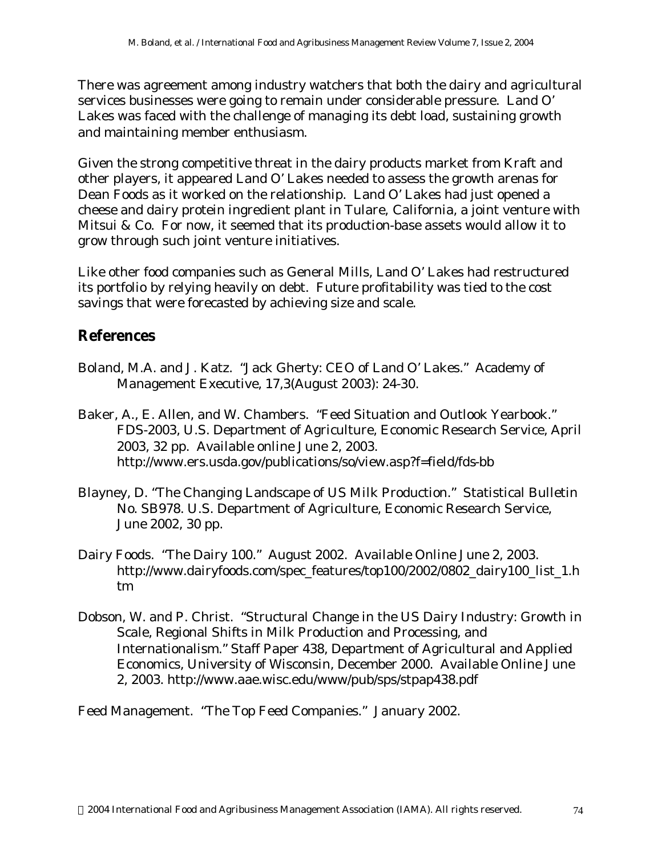There was agreement among industry watchers that both the dairy and agricultural services businesses were going to remain under considerable pressure. Land O' Lakes was faced with the challenge of managing its debt load, sustaining growth and maintaining member enthusiasm.

Given the strong competitive threat in the dairy products market from Kraft and other players, it appeared Land O' Lakes needed to assess the growth arenas for Dean Foods as it worked on the relationship. Land O' Lakes had just opened a cheese and dairy protein ingredient plant in Tulare, California, a joint venture with Mitsui & Co. For now, it seemed that its production-base assets would allow it to grow through such joint venture initiatives.

Like other food companies such as General Mills, Land O' Lakes had restructured its portfolio by relying heavily on debt. Future profitability was tied to the cost savings that were forecasted by achieving size and scale.

#### **References**

- Boland, M.A. and J. Katz. "Jack Gherty: CEO of Land O' Lakes." Academy of Management Executive, 17,3(August 2003): 24-30.
- Baker, A., E. Allen, and W. Chambers. "Feed Situation and Outlook Yearbook." FDS-2003, U.S. Department of Agriculture, Economic Research Service, April 2003, 32 pp. Available online June 2, 2003. http://www.ers.usda.gov/publications/so/view.asp?f=field/fds-bb
- Blayney, D. "The Changing Landscape of US Milk Production." Statistical Bulletin No. SB978. U.S. Department of Agriculture, Economic Research Service, June 2002, 30 pp.
- Dairy Foods. "The Dairy 100." August 2002. Available Online June 2, 2003. http://www.dairyfoods.com/spec\_features/top100/2002/0802\_dairy100\_list\_1.h tm
- Dobson, W. and P. Christ. "Structural Change in the US Dairy Industry: Growth in Scale, Regional Shifts in Milk Production and Processing, and Internationalism." Staff Paper 438, Department of Agricultural and Applied Economics, University of Wisconsin, December 2000. Available Online June 2, 2003. http://www.aae.wisc.edu/www/pub/sps/stpap438.pdf

Feed Management. "The Top Feed Companies." January 2002.